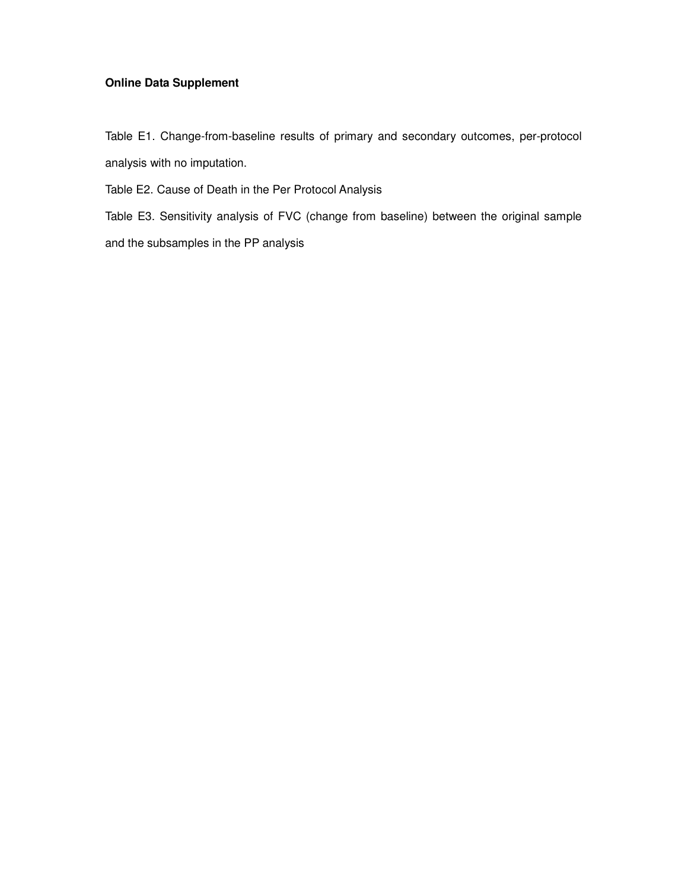## **Online Data Supplement**

Table E1. Change-from-baseline results of primary and secondary outcomes, per-protocol analysis with no imputation.

Table E2. Cause of Death in the Per Protocol Analysis

Table E3. Sensitivity analysis of FVC (change from baseline) between the original sample and the subsamples in the PP analysis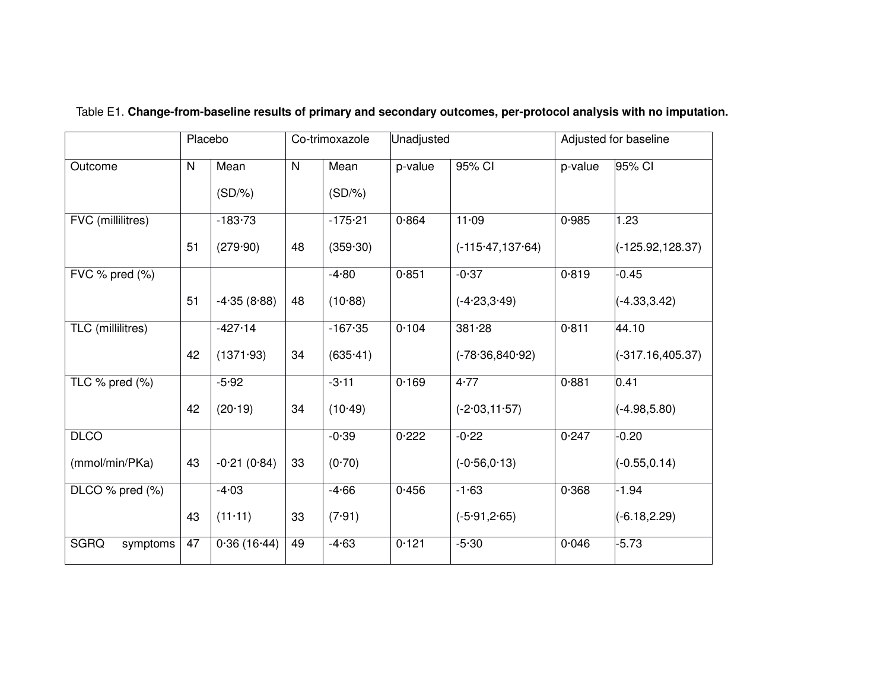|                         | Placebo |                   | Co-trimoxazole |                   | Unadjusted |                     | Adjusted for baseline |                     |
|-------------------------|---------|-------------------|----------------|-------------------|------------|---------------------|-----------------------|---------------------|
| Outcome                 | N       | Mean<br>$(SD/\%)$ | $\mathsf{N}$   | Mean<br>$(SD/\%)$ | p-value    | 95% CI              | p-value               | 95% CI              |
| FVC (millilitres)       |         | $-183 - 73$       |                | $-175 - 21$       | 0.864      | 11.09               | 0.985                 | 1.23                |
|                         | 51      | (279.90)          | 48             | (359.30)          |            | $(-115.47, 137.64)$ |                       | $(-125.92, 128.37)$ |
| FVC % pred (%)          |         |                   |                | $-4.80$           | 0.851      | $-0.37$             | 0.819                 | $-0.45$             |
|                         | 51      | $-4.35(8.88)$     | 48             | (10.88)           |            | $(-4.23, 3.49)$     |                       | $(-4.33, 3.42)$     |
| TLC (millilitres)       |         | $-427.14$         |                | $-167.35$         | 0.104      | 381.28              | 0.811                 | 44.10               |
|                         | 42      | (1371.93)         | 34             | (635.41)          |            | $(-78.36, 840.92)$  |                       | $(-317.16, 405.37)$ |
| TLC $%$ pred $(%$       |         | $-5.92$           |                | $-3.11$           | 0.169      | 4.77                | 0.881                 | 0.41                |
|                         | 42      | (20.19)           | 34             | $(10-49)$         |            | $(-2.03, 11.57)$    |                       | $(-4.98, 5.80)$     |
| <b>DLCO</b>             |         |                   |                | $-0.39$           | 0.222      | $-0.22$             | 0.247                 | $-0.20$             |
| (mmol/min/PKa)          | 43      | $-0.21(0.84)$     | 33             | (0.70)            |            | $(-0.56, 0.13)$     |                       | $(-0.55, 0.14)$     |
| DLCO $%$ pred $(\% )$   |         | $-4.03$           |                | $-4.66$           | 0.456      | $-1.63$             | 0.368                 | $-1.94$             |
|                         | 43      | (11.11)           | 33             | (7.91)            |            | $(-5.91, 2.65)$     |                       | $(-6.18, 2.29)$     |
| <b>SGRQ</b><br>symptoms | 47      | 0.36(16.44)       | 49             | $-4.63$           | 0.121      | $-5.30$             | 0.046                 | $-5.73$             |

## Table E1. **Change-from-baseline results of primary and secondary outcomes, per-protocol analysis with no imputation.**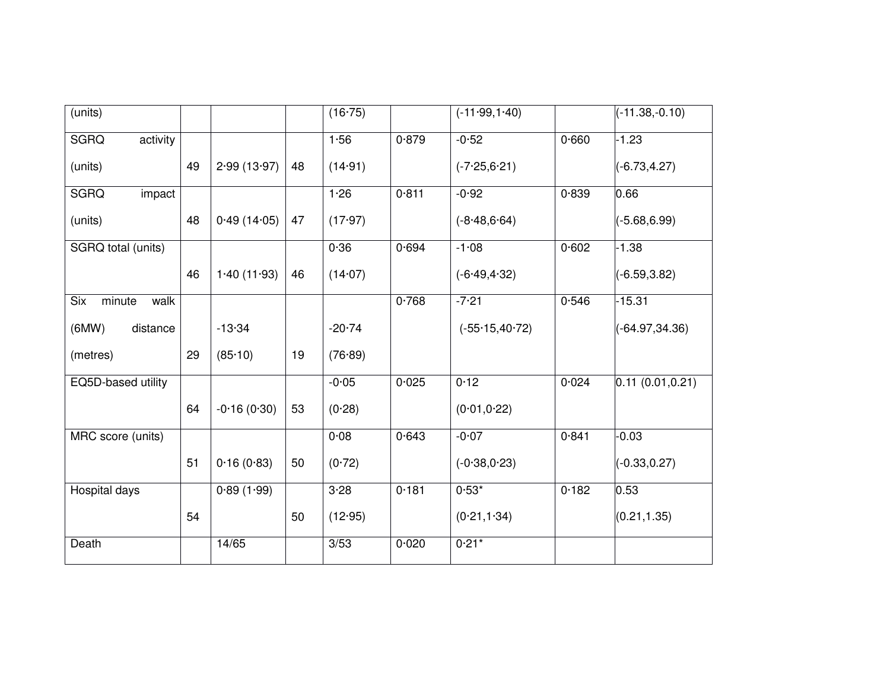| (units)                 |    |               |    | (16.75)  |       | $(-11.99, 1.40)$  |       | $(-11.38,-0.10)$  |
|-------------------------|----|---------------|----|----------|-------|-------------------|-------|-------------------|
| activity<br><b>SGRQ</b> |    |               |    | 1.56     | 0.879 | $-0.52$           | 0.660 | $-1.23$           |
| (units)                 | 49 | 2.99(13.97)   | 48 | (14.91)  |       | $(-7.25, 6.21)$   |       | $(-6.73, 4.27)$   |
| <b>SGRQ</b><br>impact   |    |               |    | 1.26     | 0.811 | $-0.92$           | 0.839 | 0.66              |
| (units)                 | 48 | 0.49(14.05)   | 47 | (17.97)  |       | $(-8.48, 6.64)$   |       | $(-5.68, 6.99)$   |
| SGRQ total (units)      |    |               |    | 0.36     | 0.694 | $-1.08$           | 0.602 | $-1.38$           |
|                         | 46 | 1.40(11.93)   | 46 | (14.07)  |       | $(-6.49, 4.32)$   |       | $(-6.59, 3.82)$   |
| Six<br>minute<br>walk   |    |               |    |          | 0.768 | $-7.21$           | 0.546 | $-15.31$          |
| (MW)<br>distance        |    | $-13.34$      |    | $-20.74$ |       | $(-55.15, 40.72)$ |       | $(-64.97, 34.36)$ |
| (metres)                | 29 | (85.10)       | 19 | (76.89)  |       |                   |       |                   |
| EQ5D-based utility      |    |               |    | $-0.05$  | 0.025 | 0.12              | 0.024 | 0.11(0.01, 0.21)  |
|                         | 64 | $-0.16(0.30)$ | 53 | (0.28)   |       | (0.01, 0.22)      |       |                   |
| MRC score (units)       |    |               |    | 0.08     | 0.643 | $-0.07$           | 0.841 | $-0.03$           |
|                         | 51 | 0.16(0.83)    | 50 | (0.72)   |       | $(-0.38, 0.23)$   |       | $(-0.33, 0.27)$   |
| Hospital days           |    | 0.89(1.99)    |    | $3 - 28$ | 0.181 | $0.53*$           | 0.182 | 0.53              |
|                         | 54 |               | 50 | (12.95)  |       | (0.21, 1.34)      |       | (0.21, 1.35)      |
| Death                   |    | 14/65         |    | 3/53     | 0.020 | $0.21*$           |       |                   |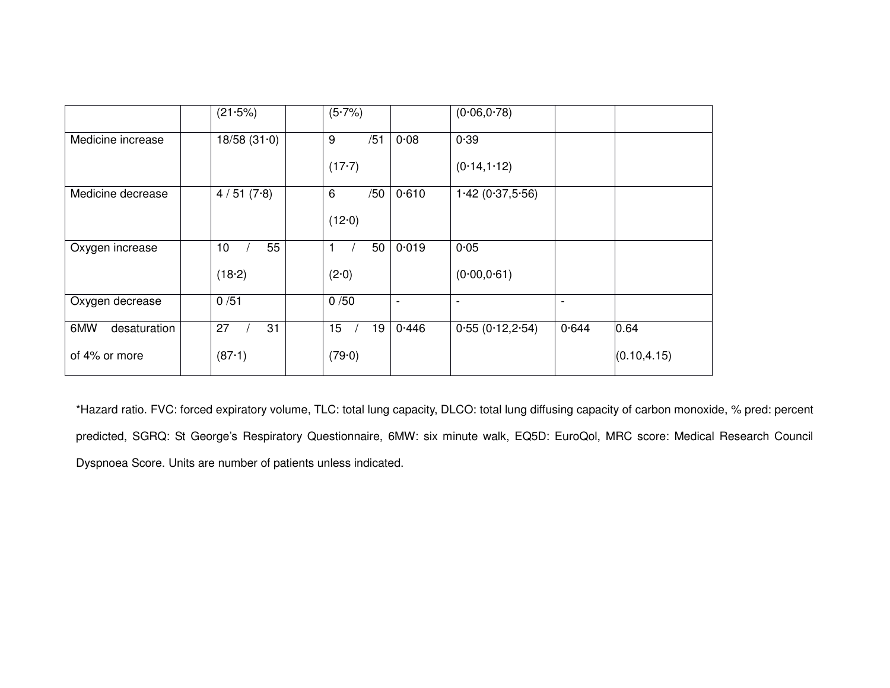|                     | (21.5%)               | $(5.7\%)$   |     |                          | (0.06, 0.78)             |       |              |
|---------------------|-----------------------|-------------|-----|--------------------------|--------------------------|-------|--------------|
| Medicine increase   | 18/58(31.0)           | 9           | /51 | 0.08                     | 0.39                     |       |              |
|                     |                       | $(17-7)$    |     |                          | (0.14, 1.12)             |       |              |
| Medicine decrease   | 4/51(7.8)             | 6           | /50 | 0.610                    | 1.42(0.37,5.56)          |       |              |
|                     |                       | (12.0)      |     |                          |                          |       |              |
| Oxygen increase     | 55<br>10 <sup>°</sup> | $\mathbf 1$ | 50  | 0.019                    | 0.05                     |       |              |
|                     | (18.2)                | (2.0)       |     |                          | (0.00, 0.61)             |       |              |
| Oxygen decrease     | 0/51                  | 0/50        |     | $\overline{\phantom{a}}$ | $\overline{\phantom{a}}$ |       |              |
| 6MW<br>desaturation | 27<br>31              | 15          | 19  | 0.446                    | 0.55(0.12,2.54)          | 0.644 | 0.64         |
| of 4% or more       | (87.1)                | (79.0)      |     |                          |                          |       | (0.10, 4.15) |

\*Hazard ratio. FVC: forced expiratory volume, TLC: total lung capacity, DLCO: total lung diffusing capacity of carbon monoxide, % pred: percent predicted, SGRQ: St George's Respiratory Questionnaire, 6MW: six minute walk, EQ5D: EuroQol, MRC score: Medical Research Council Dyspnoea Score. Units are number of patients unless indicated.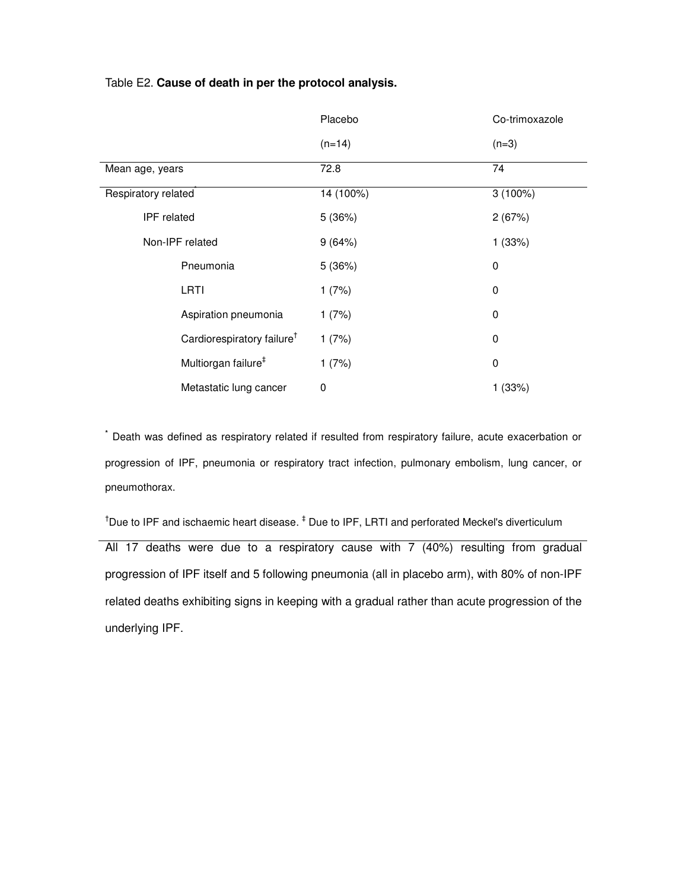## Table E2. **Cause of death in per the protocol analysis.**

|                                        | Placebo     | Co-trimoxazole |
|----------------------------------------|-------------|----------------|
|                                        | $(n=14)$    | $(n=3)$        |
| Mean age, years                        | 72.8        | 74             |
| Respiratory related                    | 14 (100%)   | $3(100\%)$     |
| IPF related                            | 5(36%)      | 2(67%)         |
| Non-IPF related                        | 9(64%)      | 1(33%)         |
| Pneumonia                              | 5(36%)      | 0              |
| LRTI                                   | 1(7%)       | 0              |
| Aspiration pneumonia                   | 1(7%)       | 0              |
| Cardiorespiratory failure <sup>†</sup> | 1(7%)       | 0              |
| Multiorgan failure <sup>#</sup>        | 1(7%)       | 0              |
| Metastatic lung cancer                 | $\mathbf 0$ | 1(33%)         |

**\*** Death was defined as respiratory related if resulted from respiratory failure, acute exacerbation or progression of IPF, pneumonia or respiratory tract infection, pulmonary embolism, lung cancer, or pneumothorax.

<sup>†</sup>Due to IPF and ischaemic heart disease. <sup>‡</sup> Due to IPF, LRTI and perforated Meckel's diverticulum All 17 deaths were due to a respiratory cause with 7 (40%) resulting from gradual progression of IPF itself and 5 following pneumonia (all in placebo arm), with 80% of non-IPF related deaths exhibiting signs in keeping with a gradual rather than acute progression of the underlying IPF.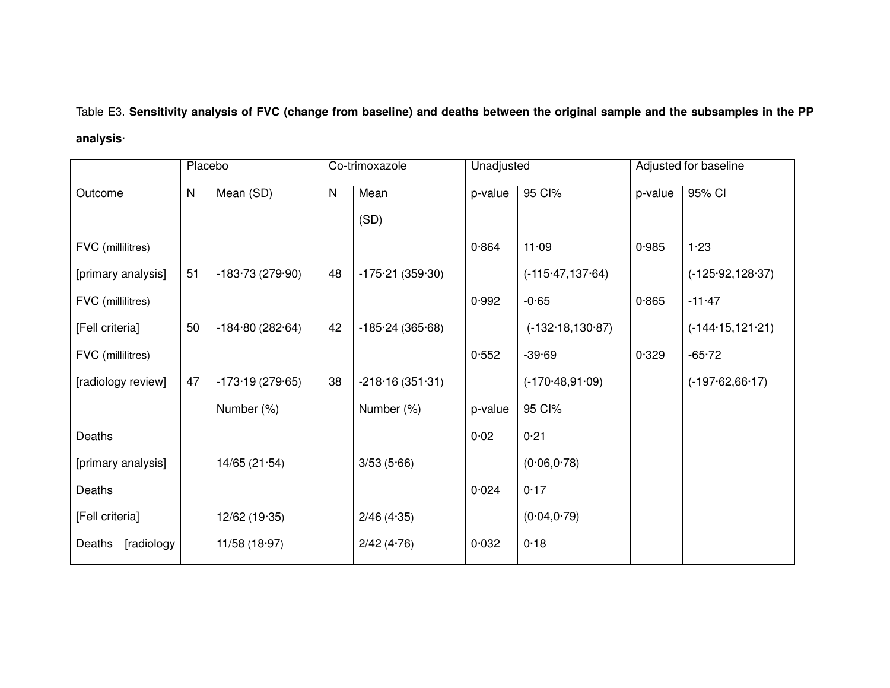Table E3. **Sensitivity analysis of FVC (change from baseline) and deaths between the original sample and the subsamples in the PP analysis**·

| Placebo              |    |                   | Co-trimoxazole | Unadjusted        |         | Adjusted for baseline |         |                     |
|----------------------|----|-------------------|----------------|-------------------|---------|-----------------------|---------|---------------------|
| Outcome              | N  | Mean (SD)         | N              | Mean              | p-value | 95 Cl%                | p-value | 95% CI              |
|                      |    |                   |                | (SD)              |         |                       |         |                     |
| FVC (millilitres)    |    |                   |                |                   | 0.864   | 11.09                 | 0.985   | 1.23                |
| [primary analysis]   | 51 | $-183.73(279.90)$ | 48             | $-175.21(359.30)$ |         | $(-115.47, 137.64)$   |         | $(-125.92, 128.37)$ |
| FVC (millilitres)    |    |                   |                |                   | 0.992   | $-0.65$               | 0.865   | $-11 - 47$          |
| [Fell criteria]      | 50 | $-184.80(282.64)$ | 42             | $-185.24(365.68)$ |         | $(-132.18, 130.87)$   |         | $(-144.15, 121.21)$ |
| FVC (millilitres)    |    |                   |                |                   | 0.552   | $-39.69$              | 0.329   | $-65 - 72$          |
| [radiology review]   | 47 | $-173.19(279.65)$ | 38             | $-218.16(351.31)$ |         | $(-170.48, 91.09)$    |         | $(-197.62,66.17)$   |
|                      |    | Number (%)        |                | Number (%)        | p-value | 95 Cl%                |         |                     |
| Deaths               |    |                   |                |                   | 0.02    | 0.21                  |         |                     |
| [primary analysis]   |    | 14/65(21.54)      |                | 3/53(5.66)        |         | (0.06, 0.78)          |         |                     |
| Deaths               |    |                   |                |                   | 0.024   | 0.17                  |         |                     |
| [Fell criteria]      |    | 12/62 (19-35)     |                | 2/46(4.35)        |         | (0.04, 0.79)          |         |                     |
| Deaths<br>[radiology |    | 11/58(18.97)      |                | 2/42(4.76)        | 0.032   | 0.18                  |         |                     |